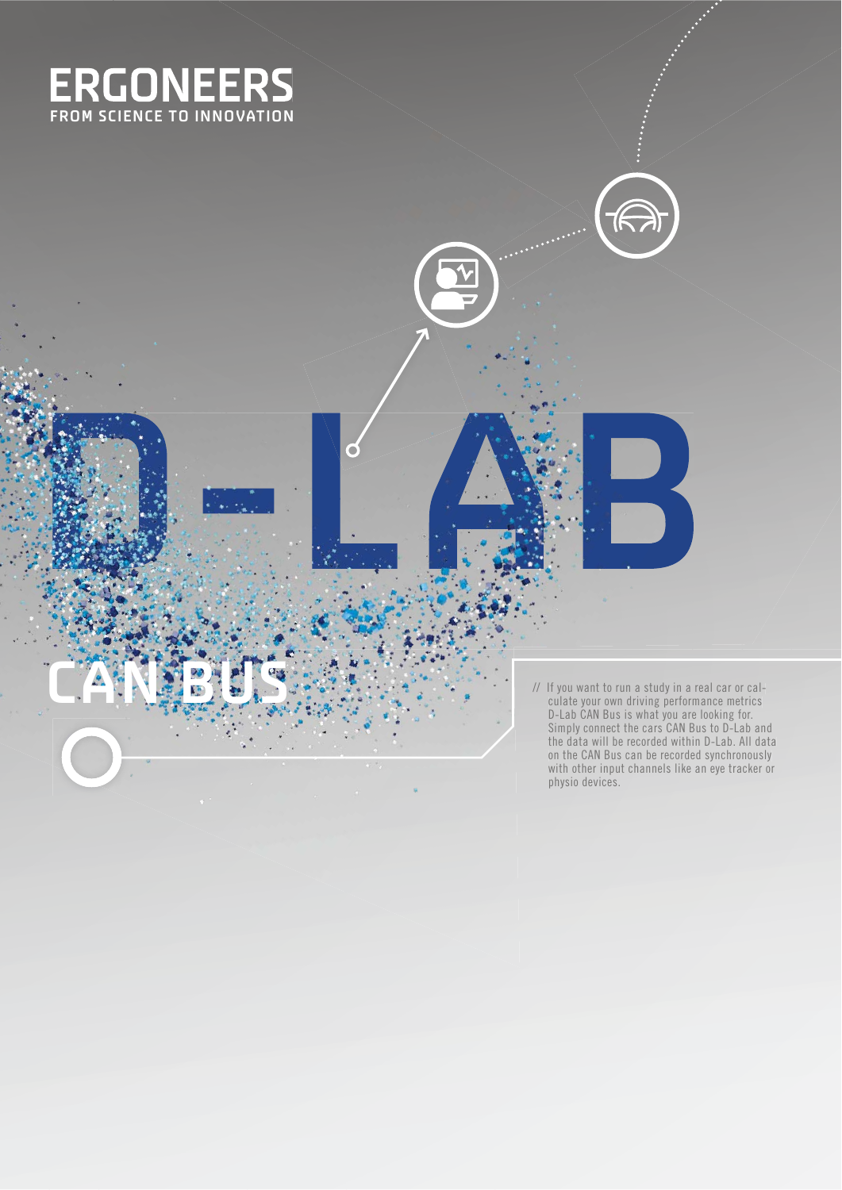

**CAN BUS**

**D-LAB**

// If you want to run a study in a real car or cal culate your own driving performance metrics D-Lab CAN Bus is what you are looking for. Simply connect the cars CAN Bus to D-Lab and the data will be recorded within D-Lab. All data on the CAN Bus can be recorded synchronously with other input channels like an eye tracker or physio devices. caldriving performance metrics data synchronously with other input channels like an eye tracker or

 $\widehat{\mathbb{R}}$